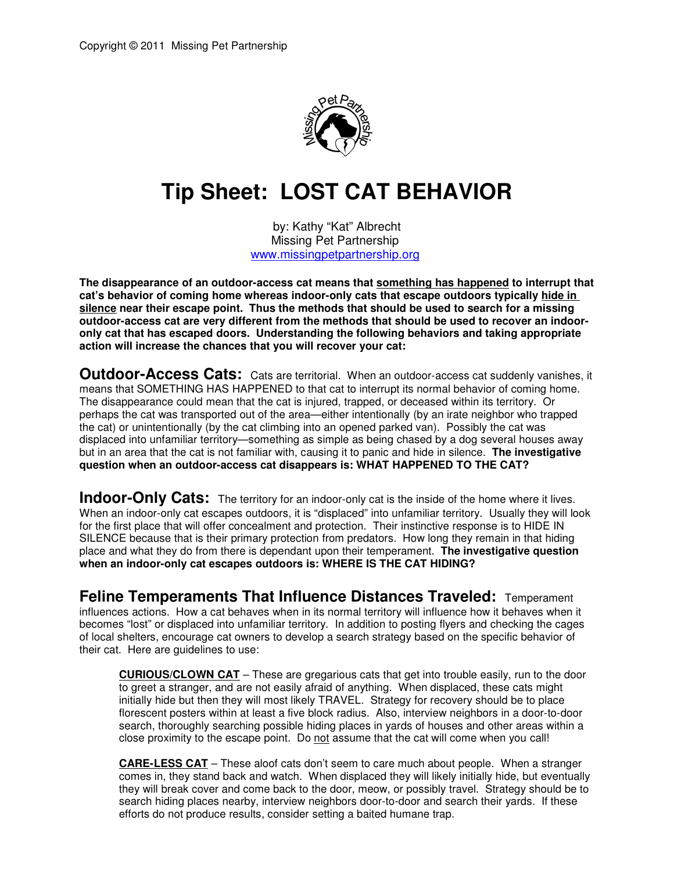

## **Tip Sheet: LOST CAT BEHAVIOR**

by: Kathy "Kat" Albrecht Missing Pet Partnership www.missingpetpartnership.org

**The disappearance of an outdoor-access cat means that something has happened to interrupt that cat's behavior of coming home whereas indoor-only cats that escape outdoors typically hide in silence near their escape point. Thus the methods that should be used to search for a missing outdoor-access cat are very different from the methods that should be used to recover an indooronly cat that has escaped doors. Understanding the following behaviors and taking appropriate action will increase the chances that you will recover your cat:** 

**Outdoor-Access Cats:** Cats are territorial. When an outdoor-access cat suddenly vanishes, it means that SOMETHING HAS HAPPENED to that cat to interrupt its normal behavior of coming home. The disappearance could mean that the cat is injured, trapped, or deceased within its territory. Or perhaps the cat was transported out of the area—either intentionally (by an irate neighbor who trapped the cat) or unintentionally (by the cat climbing into an opened parked van). Possibly the cat was displaced into unfamiliar territory—something as simple as being chased by a dog several houses away but in an area that the cat is not familiar with, causing it to panic and hide in silence. **The investigative question when an outdoor-access cat disappears is: WHAT HAPPENED TO THE CAT?**

**Indoor-Only Cats:** The territory for an indoor-only cat is the inside of the home where it lives. When an indoor-only cat escapes outdoors, it is "displaced" into unfamiliar territory. Usually they will look for the first place that will offer concealment and protection. Their instinctive response is to HIDE IN SILENCE because that is their primary protection from predators. How long they remain in that hiding place and what they do from there is dependant upon their temperament. **The investigative question when an indoor-only cat escapes outdoors is: WHERE IS THE CAT HIDING?** 

**Feline Temperaments That Influence Distances Traveled:** Temperament influences actions. How a cat behaves when in its normal territory will influence how it behaves when it becomes "lost" or displaced into unfamiliar territory. In addition to posting flyers and checking the cages of local shelters, encourage cat owners to develop a search strategy based on the specific behavior of their cat. Here are guidelines to use:

**CURIOUS/CLOWN CAT** – These are gregarious cats that get into trouble easily, run to the door to greet a stranger, and are not easily afraid of anything. When displaced, these cats might initially hide but then they will most likely TRAVEL. Strategy for recovery should be to place florescent posters within at least a five block radius. Also, interview neighbors in a door-to-door search, thoroughly searching possible hiding places in yards of houses and other areas within a close proximity to the escape point. Do not assume that the cat will come when you call!

**CARE-LESS CAT** – These aloof cats don't seem to care much about people. When a stranger comes in, they stand back and watch. When displaced they will likely initially hide, but eventually they will break cover and come back to the door, meow, or possibly travel. Strategy should be to search hiding places nearby, interview neighbors door-to-door and search their yards. If these efforts do not produce results, consider setting a baited humane trap.